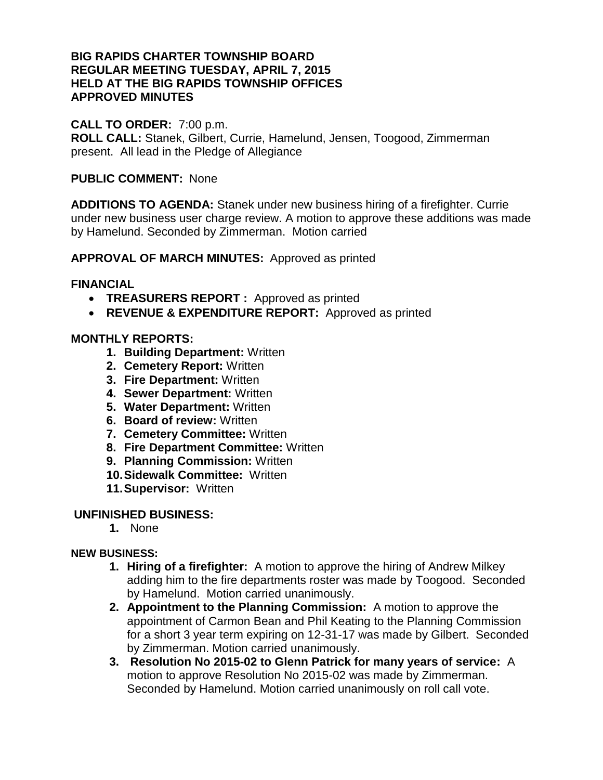## **BIG RAPIDS CHARTER TOWNSHIP BOARD REGULAR MEETING TUESDAY, APRIL 7, 2015 HELD AT THE BIG RAPIDS TOWNSHIP OFFICES APPROVED MINUTES**

## **CALL TO ORDER:** 7:00 p.m.

**ROLL CALL:** Stanek, Gilbert, Currie, Hamelund, Jensen, Toogood, Zimmerman present. All lead in the Pledge of Allegiance

### **PUBLIC COMMENT:** None

**ADDITIONS TO AGENDA:** Stanek under new business hiring of a firefighter. Currie under new business user charge review. A motion to approve these additions was made by Hamelund. Seconded by Zimmerman. Motion carried

**APPROVAL OF MARCH MINUTES:** Approved as printed

### **FINANCIAL**

- **TREASURERS REPORT :** Approved as printed
- **REVENUE & EXPENDITURE REPORT:** Approved as printed

# **MONTHLY REPORTS:**

- **1. Building Department:** Written
- **2. Cemetery Report:** Written
- **3. Fire Department:** Written
- **4. Sewer Department:** Written
- **5. Water Department:** Written
- **6. Board of review:** Written
- **7. Cemetery Committee:** Written
- **8. Fire Department Committee:** Written
- **9. Planning Commission:** Written
- **10.Sidewalk Committee:** Written
- **11.Supervisor:** Written

### **UNFINISHED BUSINESS:**

**1.** None

### **NEW BUSINESS:**

- **1. Hiring of a firefighter:** A motion to approve the hiring of Andrew Milkey adding him to the fire departments roster was made by Toogood. Seconded by Hamelund. Motion carried unanimously.
- **2. Appointment to the Planning Commission:** A motion to approve the appointment of Carmon Bean and Phil Keating to the Planning Commission for a short 3 year term expiring on 12-31-17 was made by Gilbert. Seconded by Zimmerman. Motion carried unanimously.
- **3. Resolution No 2015-02 to Glenn Patrick for many years of service:** A motion to approve Resolution No 2015-02 was made by Zimmerman. Seconded by Hamelund. Motion carried unanimously on roll call vote.